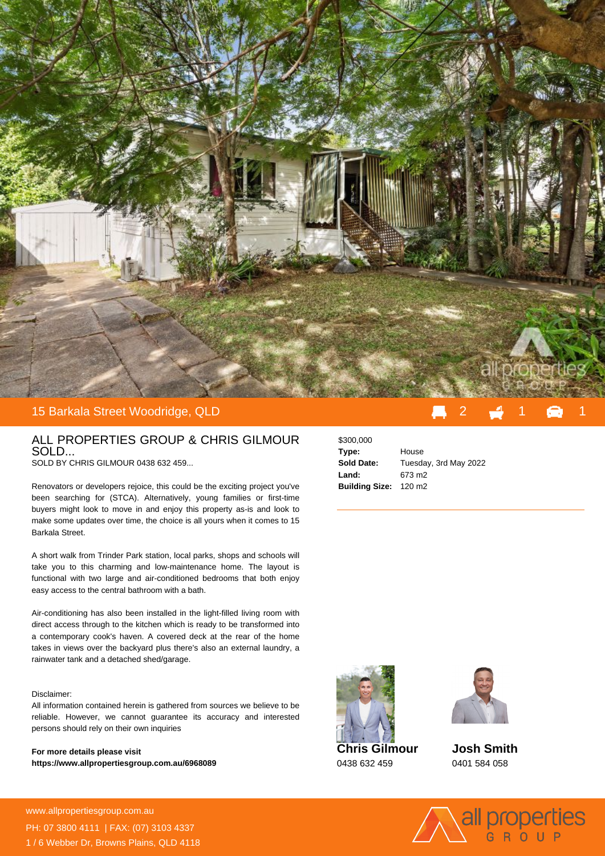

## 15 Barkala Street Woodridge, QLD

## ALL PROPERTIES GROUP & CHRIS GILMOUR SOLD...

SOLD BY CHRIS GILMOUR 0438 632 459...

Renovators or developers rejoice, this could be the exciting project you've been searching for (STCA). Alternatively, young families or first-time buyers might look to move in and enjoy this property as-is and look to make some updates over time, the choice is all yours when it comes to 15 Barkala Street.

A short walk from Trinder Park station, local parks, shops and schools will take you to this charming and low-maintenance home. The layout is functional with two large and air-conditioned bedrooms that both enjoy easy access to the central bathroom with a bath.

Air-conditioning has also been installed in the light-filled living room with direct access through to the kitchen which is ready to be transformed into a contemporary cook's haven. A covered deck at the rear of the home takes in views over the backyard plus there's also an external laundry, a rainwater tank and a detached shed/garage.

## Disclaimer:

All information contained herein is gathered from sources we believe to be reliable. However, we cannot guarantee its accuracy and interested persons should rely on their own inquiries

**For more details please visit https://www.allpropertiesgroup.com.au/6968089** \$300,000 **Type:** House **Sold Date:** Tuesday, 3rd May 2022 **Land:** 673 m2 **Building Size:** 120 m2











www.allpropertiesgroup.com.au PH: 07 3800 4111 | FAX: (07) 3103 4337 1 / 6 Webber Dr, Browns Plains, QLD 4118